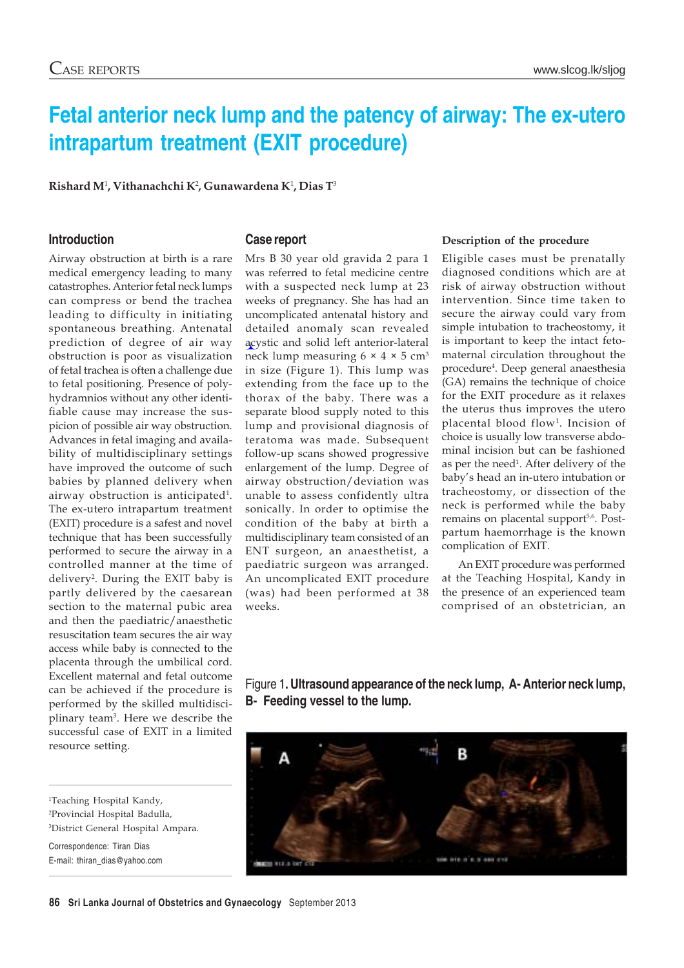# **Fetal anterior neck lump and the patency of airway: The ex-utero intrapartum treatment (EXIT procedure)**

**Rishard M**<sup>1</sup> **, Vithanachchi K**<sup>2</sup> **, Gunawardena K**<sup>1</sup> **, Dias T**<sup>3</sup>

## **Introduction**

Airway obstruction at birth is a rare medical emergency leading to many catastrophes. Anterior fetal neck lumps can compress or bend the trachea leading to difficulty in initiating spontaneous breathing. Antenatal prediction of degree of air way obstruction is poor as visualization of fetal trachea is often a challenge due to fetal positioning. Presence of polyhydramnios without any other identifiable cause may increase the suspicion of possible air way obstruction. Advances in fetal imaging and availability of multidisciplinary settings have improved the outcome of such babies by planned delivery when airway obstruction is anticipated $^1$ . The ex-utero intrapartum treatment (EXIT) procedure is a safest and novel technique that has been successfully performed to secure the airway in a controlled manner at the time of delivery2 . During the EXIT baby is partly delivered by the caesarean section to the maternal pubic area and then the paediatric/anaesthetic resuscitation team secures the air way access while baby is connected to the placenta through the umbilical cord. Excellent maternal and fetal outcome can be achieved if the procedure is performed by the skilled multidisciplinary team3 . Here we describe the successful case of EXIT in a limited resource setting.

## **Case report**

Mrs B 30 year old gravida 2 para 1 was referred to fetal medicine centre with a suspected neck lump at 23 weeks of pregnancy. She has had an uncomplicated antenatal history and detailed anomaly scan revealed acystic and solid left anterior-lateral neck lump measuring  $6 \times 4 \times 5$  cm<sup>3</sup> in size (Figure 1). This lump was extending from the face up to the thorax of the baby. There was a separate blood supply noted to this lump and provisional diagnosis of teratoma was made. Subsequent follow-up scans showed progressive enlargement of the lump. Degree of airway obstruction/deviation was unable to assess confidently ultra sonically. In order to optimise the condition of the baby at birth a multidisciplinary team consisted of an ENT surgeon, an anaesthetist, a paediatric surgeon was arranged. An uncomplicated EXIT procedure (was) had been performed at 38 weeks.

#### **Description of the procedure**

Eligible cases must be prenatally diagnosed conditions which are at risk of airway obstruction without intervention. Since time taken to secure the airway could vary from simple intubation to tracheostomy, it is important to keep the intact fetomaternal circulation throughout the procedure4 . Deep general anaesthesia (GA) remains the technique of choice for the EXIT procedure as it relaxes the uterus thus improves the utero placental blood flow1. Incision of choice is usually low transverse abdominal incision but can be fashioned as per the need<sup>1</sup>. After delivery of the baby's head an in-utero intubation or tracheostomy, or dissection of the neck is performed while the baby remains on placental support<sup>5,6</sup>. Postpartum haemorrhage is the known complication of EXIT.

An EXIT procedure was performed at the Teaching Hospital, Kandy in the presence of an experienced team comprised of an obstetrician, an

Figure 1**. Ultrasound appearance of the neck lump, A- Anterior neck lump, B- Feeding vessel to the lump.**

1 Teaching Hospital Kandy, 2 Provincial Hospital Badulla, 3 District General Hospital Ampara.

Correspondence: Tiran Dias E-mail: thiran\_dias@yahoo.com